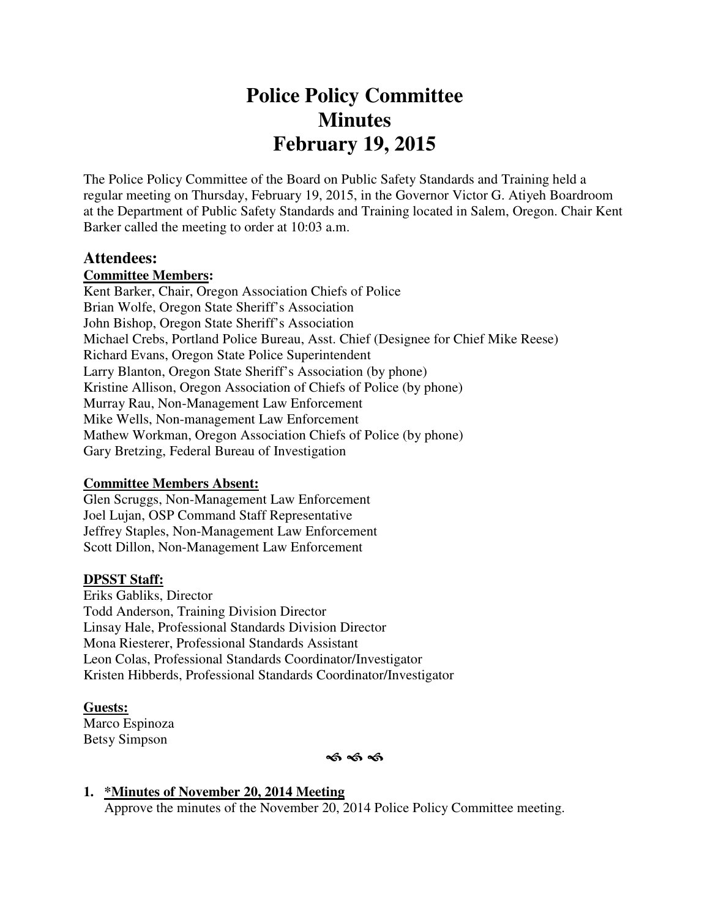# **Police Policy Committee Minutes February 19, 2015**

The Police Policy Committee of the Board on Public Safety Standards and Training held a regular meeting on Thursday, February 19, 2015, in the Governor Victor G. Atiyeh Boardroom at the Department of Public Safety Standards and Training located in Salem, Oregon. Chair Kent Barker called the meeting to order at 10:03 a.m.

#### **Attendees:**

## **Committee Members:**

Kent Barker, Chair, Oregon Association Chiefs of Police Brian Wolfe, Oregon State Sheriff's Association John Bishop, Oregon State Sheriff's Association Michael Crebs, Portland Police Bureau, Asst. Chief (Designee for Chief Mike Reese) Richard Evans, Oregon State Police Superintendent Larry Blanton, Oregon State Sheriff's Association (by phone) Kristine Allison, Oregon Association of Chiefs of Police (by phone) Murray Rau, Non-Management Law Enforcement Mike Wells, Non-management Law Enforcement Mathew Workman, Oregon Association Chiefs of Police (by phone) Gary Bretzing, Federal Bureau of Investigation

#### **Committee Members Absent:**

Glen Scruggs, Non-Management Law Enforcement Joel Lujan, OSP Command Staff Representative Jeffrey Staples, Non-Management Law Enforcement Scott Dillon, Non-Management Law Enforcement

## **DPSST Staff:**

Eriks Gabliks, Director Todd Anderson, Training Division Director Linsay Hale, Professional Standards Division Director Mona Riesterer, Professional Standards Assistant Leon Colas, Professional Standards Coordinator/Investigator Kristen Hibberds, Professional Standards Coordinator/Investigator

**Guests:**  Marco Espinoza Betsy Simpson

ৰ্ক ৰ্ক ৰ্ক

#### **1. \*Minutes of November 20, 2014 Meeting**

Approve the minutes of the November 20, 2014 Police Policy Committee meeting.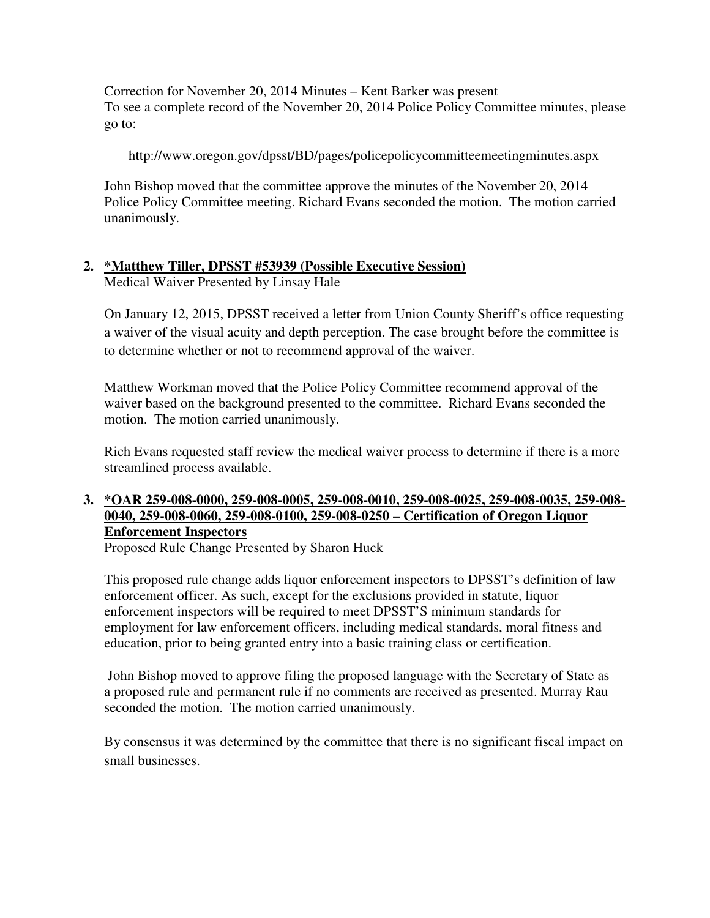Correction for November 20, 2014 Minutes – Kent Barker was present To see a complete record of the November 20, 2014 Police Policy Committee minutes, please go to:

http://www.oregon.gov/dpsst/BD/pages/policepolicycommitteemeetingminutes.aspx

John Bishop moved that the committee approve the minutes of the November 20, 2014 Police Policy Committee meeting. Richard Evans seconded the motion. The motion carried unanimously.

## **2. \*Matthew Tiller, DPSST #53939 (Possible Executive Session)**

Medical Waiver Presented by Linsay Hale

On January 12, 2015, DPSST received a letter from Union County Sheriff's office requesting a waiver of the visual acuity and depth perception. The case brought before the committee is to determine whether or not to recommend approval of the waiver.

Matthew Workman moved that the Police Policy Committee recommend approval of the waiver based on the background presented to the committee. Richard Evans seconded the motion. The motion carried unanimously.

Rich Evans requested staff review the medical waiver process to determine if there is a more streamlined process available.

## **3. \*OAR 259-008-0000, 259-008-0005, 259-008-0010, 259-008-0025, 259-008-0035, 259-008- 0040, 259-008-0060, 259-008-0100, 259-008-0250 – Certification of Oregon Liquor Enforcement Inspectors**

Proposed Rule Change Presented by Sharon Huck

This proposed rule change adds liquor enforcement inspectors to DPSST's definition of law enforcement officer. As such, except for the exclusions provided in statute, liquor enforcement inspectors will be required to meet DPSST'S minimum standards for employment for law enforcement officers, including medical standards, moral fitness and education, prior to being granted entry into a basic training class or certification.

 John Bishop moved to approve filing the proposed language with the Secretary of State as a proposed rule and permanent rule if no comments are received as presented. Murray Rau seconded the motion. The motion carried unanimously.

By consensus it was determined by the committee that there is no significant fiscal impact on small businesses.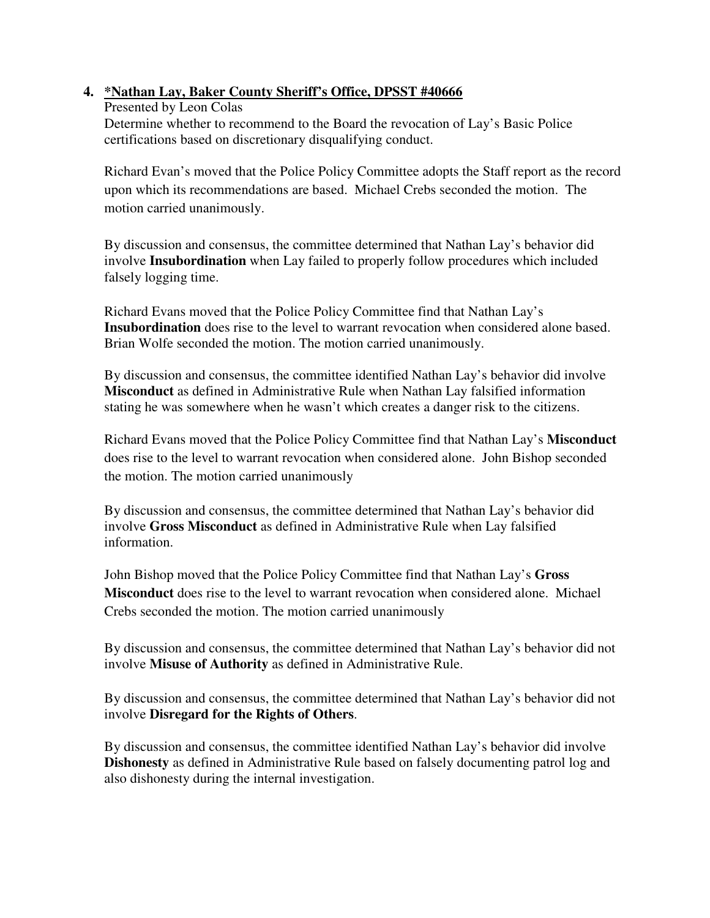## **4. \*Nathan Lay, Baker County Sheriff's Office, DPSST #40666**

Presented by Leon Colas Determine whether to recommend to the Board the revocation of Lay's Basic Police certifications based on discretionary disqualifying conduct.

Richard Evan's moved that the Police Policy Committee adopts the Staff report as the record upon which its recommendations are based. Michael Crebs seconded the motion. The motion carried unanimously.

By discussion and consensus, the committee determined that Nathan Lay's behavior did involve **Insubordination** when Lay failed to properly follow procedures which included falsely logging time.

Richard Evans moved that the Police Policy Committee find that Nathan Lay's **Insubordination** does rise to the level to warrant revocation when considered alone based. Brian Wolfe seconded the motion. The motion carried unanimously.

By discussion and consensus, the committee identified Nathan Lay's behavior did involve **Misconduct** as defined in Administrative Rule when Nathan Lay falsified information stating he was somewhere when he wasn't which creates a danger risk to the citizens.

Richard Evans moved that the Police Policy Committee find that Nathan Lay's **Misconduct** does rise to the level to warrant revocation when considered alone. John Bishop seconded the motion. The motion carried unanimously

By discussion and consensus, the committee determined that Nathan Lay's behavior did involve **Gross Misconduct** as defined in Administrative Rule when Lay falsified information.

John Bishop moved that the Police Policy Committee find that Nathan Lay's **Gross Misconduct** does rise to the level to warrant revocation when considered alone. Michael Crebs seconded the motion. The motion carried unanimously

By discussion and consensus, the committee determined that Nathan Lay's behavior did not involve **Misuse of Authority** as defined in Administrative Rule.

By discussion and consensus, the committee determined that Nathan Lay's behavior did not involve **Disregard for the Rights of Others**.

By discussion and consensus, the committee identified Nathan Lay's behavior did involve **Dishonesty** as defined in Administrative Rule based on falsely documenting patrol log and also dishonesty during the internal investigation.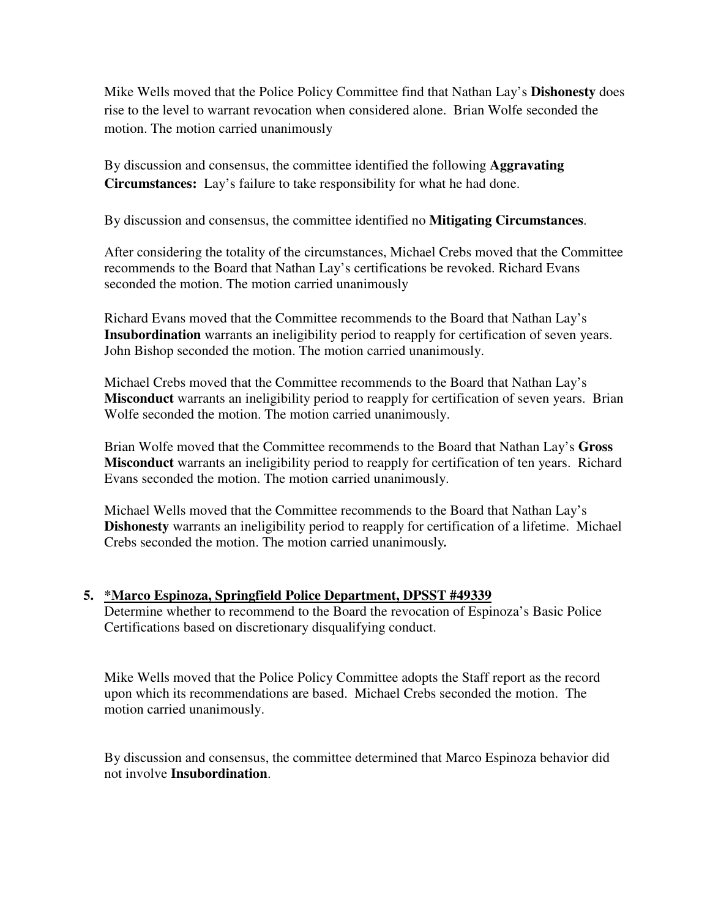Mike Wells moved that the Police Policy Committee find that Nathan Lay's **Dishonesty** does rise to the level to warrant revocation when considered alone. Brian Wolfe seconded the motion. The motion carried unanimously

By discussion and consensus, the committee identified the following **Aggravating Circumstances:** Lay's failure to take responsibility for what he had done.

By discussion and consensus, the committee identified no **Mitigating Circumstances**.

After considering the totality of the circumstances, Michael Crebs moved that the Committee recommends to the Board that Nathan Lay's certifications be revoked. Richard Evans seconded the motion. The motion carried unanimously

Richard Evans moved that the Committee recommends to the Board that Nathan Lay's **Insubordination** warrants an ineligibility period to reapply for certification of seven years. John Bishop seconded the motion. The motion carried unanimously.

Michael Crebs moved that the Committee recommends to the Board that Nathan Lay's **Misconduct** warrants an ineligibility period to reapply for certification of seven years. Brian Wolfe seconded the motion. The motion carried unanimously.

Brian Wolfe moved that the Committee recommends to the Board that Nathan Lay's **Gross Misconduct** warrants an ineligibility period to reapply for certification of ten years. Richard Evans seconded the motion. The motion carried unanimously.

Michael Wells moved that the Committee recommends to the Board that Nathan Lay's **Dishonesty** warrants an ineligibility period to reapply for certification of a lifetime. Michael Crebs seconded the motion. The motion carried unanimously*.* 

## **5. \*Marco Espinoza, Springfield Police Department, DPSST #49339**

Determine whether to recommend to the Board the revocation of Espinoza's Basic Police Certifications based on discretionary disqualifying conduct.

Mike Wells moved that the Police Policy Committee adopts the Staff report as the record upon which its recommendations are based. Michael Crebs seconded the motion. The motion carried unanimously.

By discussion and consensus, the committee determined that Marco Espinoza behavior did not involve **Insubordination**.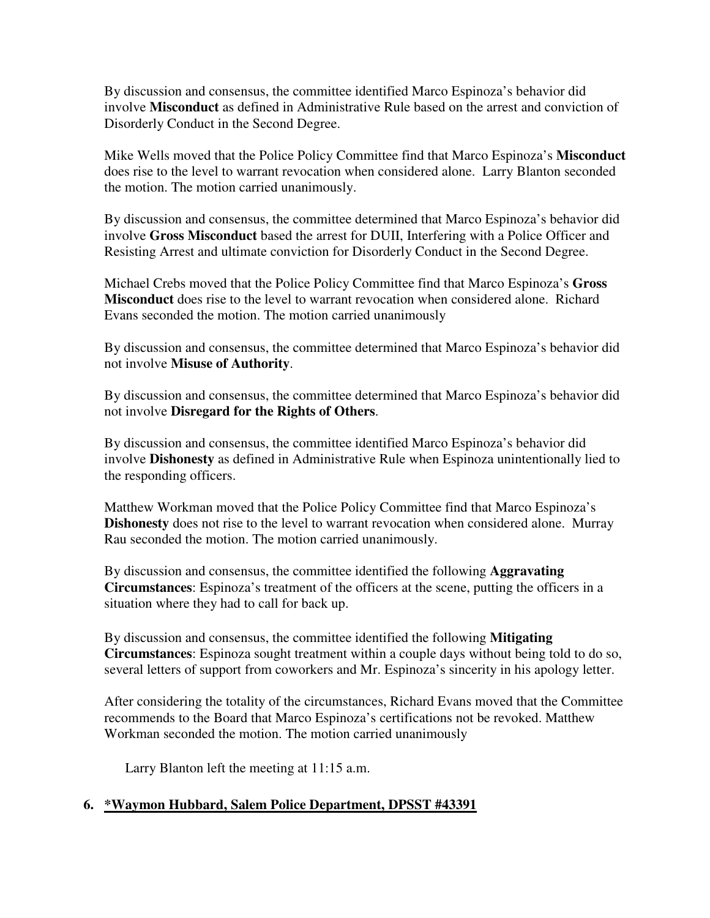By discussion and consensus, the committee identified Marco Espinoza's behavior did involve **Misconduct** as defined in Administrative Rule based on the arrest and conviction of Disorderly Conduct in the Second Degree.

Mike Wells moved that the Police Policy Committee find that Marco Espinoza's **Misconduct** does rise to the level to warrant revocation when considered alone. Larry Blanton seconded the motion. The motion carried unanimously.

By discussion and consensus, the committee determined that Marco Espinoza's behavior did involve **Gross Misconduct** based the arrest for DUII, Interfering with a Police Officer and Resisting Arrest and ultimate conviction for Disorderly Conduct in the Second Degree.

Michael Crebs moved that the Police Policy Committee find that Marco Espinoza's **Gross Misconduct** does rise to the level to warrant revocation when considered alone. Richard Evans seconded the motion. The motion carried unanimously

By discussion and consensus, the committee determined that Marco Espinoza's behavior did not involve **Misuse of Authority**.

By discussion and consensus, the committee determined that Marco Espinoza's behavior did not involve **Disregard for the Rights of Others**.

By discussion and consensus, the committee identified Marco Espinoza's behavior did involve **Dishonesty** as defined in Administrative Rule when Espinoza unintentionally lied to the responding officers.

Matthew Workman moved that the Police Policy Committee find that Marco Espinoza's **Dishonesty** does not rise to the level to warrant revocation when considered alone. Murray Rau seconded the motion. The motion carried unanimously.

By discussion and consensus, the committee identified the following **Aggravating Circumstances**: Espinoza's treatment of the officers at the scene, putting the officers in a situation where they had to call for back up.

By discussion and consensus, the committee identified the following **Mitigating Circumstances**: Espinoza sought treatment within a couple days without being told to do so, several letters of support from coworkers and Mr. Espinoza's sincerity in his apology letter.

After considering the totality of the circumstances, Richard Evans moved that the Committee recommends to the Board that Marco Espinoza's certifications not be revoked. Matthew Workman seconded the motion. The motion carried unanimously

Larry Blanton left the meeting at 11:15 a.m.

## **6. \*Waymon Hubbard, Salem Police Department, DPSST #43391**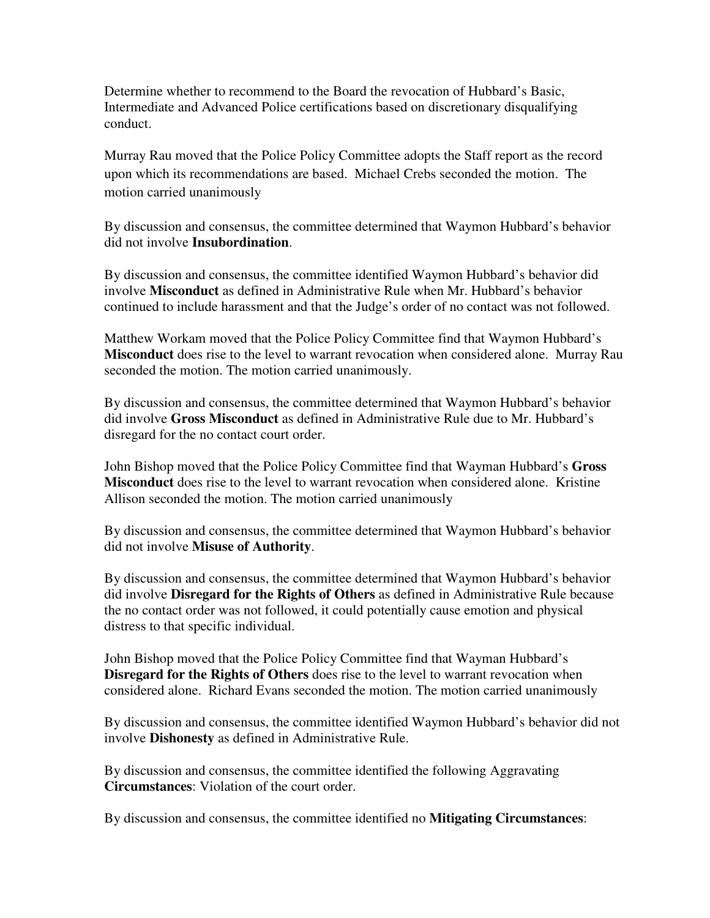Determine whether to recommend to the Board the revocation of Hubbard's Basic, Intermediate and Advanced Police certifications based on discretionary disqualifying conduct.

Murray Rau moved that the Police Policy Committee adopts the Staff report as the record upon which its recommendations are based. Michael Crebs seconded the motion. The motion carried unanimously

By discussion and consensus, the committee determined that Waymon Hubbard's behavior did not involve **Insubordination**.

By discussion and consensus, the committee identified Waymon Hubbard's behavior did involve **Misconduct** as defined in Administrative Rule when Mr. Hubbard's behavior continued to include harassment and that the Judge's order of no contact was not followed.

Matthew Workam moved that the Police Policy Committee find that Waymon Hubbard's **Misconduct** does rise to the level to warrant revocation when considered alone. Murray Rau seconded the motion. The motion carried unanimously.

By discussion and consensus, the committee determined that Waymon Hubbard's behavior did involve **Gross Misconduct** as defined in Administrative Rule due to Mr. Hubbard's disregard for the no contact court order.

John Bishop moved that the Police Policy Committee find that Wayman Hubbard's **Gross Misconduct** does rise to the level to warrant revocation when considered alone. Kristine Allison seconded the motion. The motion carried unanimously

By discussion and consensus, the committee determined that Waymon Hubbard's behavior did not involve **Misuse of Authority**.

By discussion and consensus, the committee determined that Waymon Hubbard's behavior did involve **Disregard for the Rights of Others** as defined in Administrative Rule because the no contact order was not followed, it could potentially cause emotion and physical distress to that specific individual.

John Bishop moved that the Police Policy Committee find that Wayman Hubbard's **Disregard for the Rights of Others** does rise to the level to warrant revocation when considered alone. Richard Evans seconded the motion. The motion carried unanimously

By discussion and consensus, the committee identified Waymon Hubbard's behavior did not involve **Dishonesty** as defined in Administrative Rule.

By discussion and consensus, the committee identified the following Aggravating **Circumstances**: Violation of the court order.

By discussion and consensus, the committee identified no **Mitigating Circumstances**: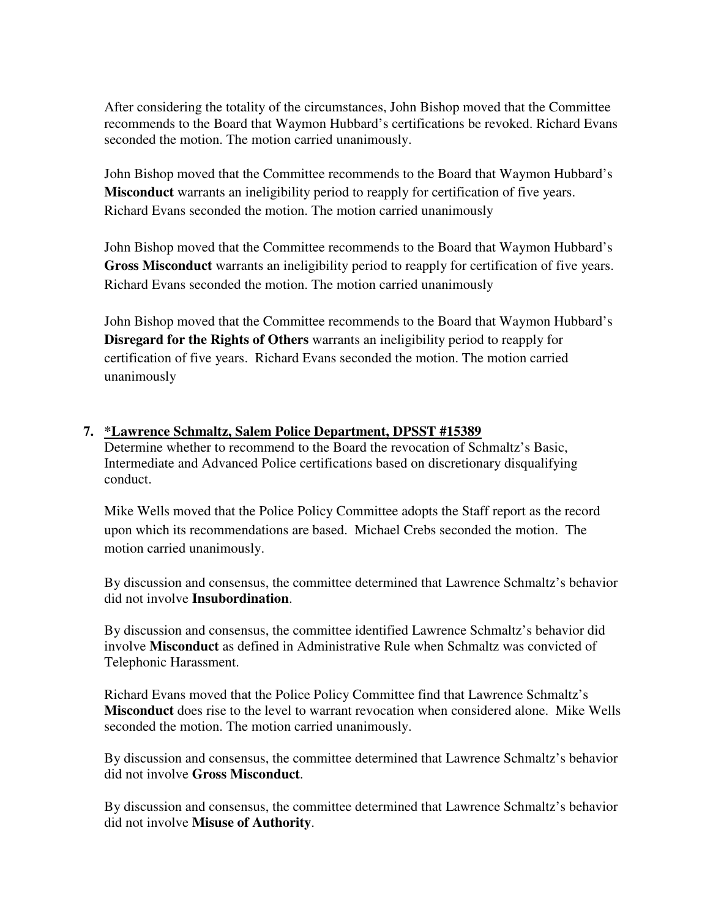After considering the totality of the circumstances, John Bishop moved that the Committee recommends to the Board that Waymon Hubbard's certifications be revoked. Richard Evans seconded the motion. The motion carried unanimously.

John Bishop moved that the Committee recommends to the Board that Waymon Hubbard's **Misconduct** warrants an ineligibility period to reapply for certification of five years. Richard Evans seconded the motion. The motion carried unanimously

John Bishop moved that the Committee recommends to the Board that Waymon Hubbard's **Gross Misconduct** warrants an ineligibility period to reapply for certification of five years. Richard Evans seconded the motion. The motion carried unanimously

John Bishop moved that the Committee recommends to the Board that Waymon Hubbard's **Disregard for the Rights of Others** warrants an ineligibility period to reapply for certification of five years. Richard Evans seconded the motion. The motion carried unanimously

## **7. \*Lawrence Schmaltz, Salem Police Department, DPSST #15389**

Determine whether to recommend to the Board the revocation of Schmaltz's Basic, Intermediate and Advanced Police certifications based on discretionary disqualifying conduct.

Mike Wells moved that the Police Policy Committee adopts the Staff report as the record upon which its recommendations are based. Michael Crebs seconded the motion. The motion carried unanimously.

By discussion and consensus, the committee determined that Lawrence Schmaltz's behavior did not involve **Insubordination**.

By discussion and consensus, the committee identified Lawrence Schmaltz's behavior did involve **Misconduct** as defined in Administrative Rule when Schmaltz was convicted of Telephonic Harassment.

Richard Evans moved that the Police Policy Committee find that Lawrence Schmaltz's **Misconduct** does rise to the level to warrant revocation when considered alone. Mike Wells seconded the motion. The motion carried unanimously.

By discussion and consensus, the committee determined that Lawrence Schmaltz's behavior did not involve **Gross Misconduct**.

By discussion and consensus, the committee determined that Lawrence Schmaltz's behavior did not involve **Misuse of Authority**.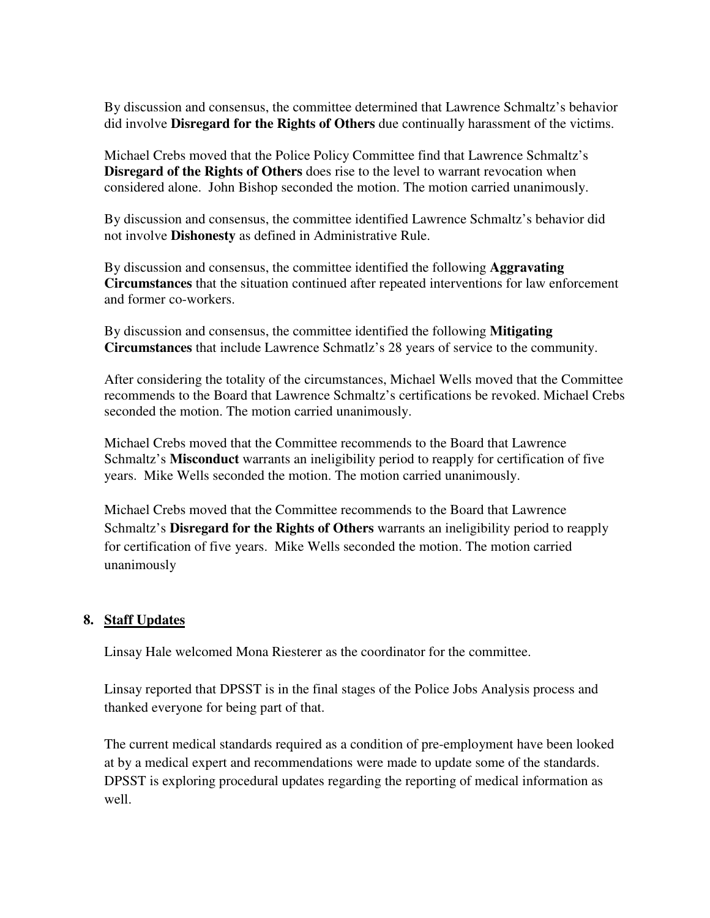By discussion and consensus, the committee determined that Lawrence Schmaltz's behavior did involve **Disregard for the Rights of Others** due continually harassment of the victims.

Michael Crebs moved that the Police Policy Committee find that Lawrence Schmaltz's **Disregard of the Rights of Others** does rise to the level to warrant revocation when considered alone. John Bishop seconded the motion. The motion carried unanimously.

By discussion and consensus, the committee identified Lawrence Schmaltz's behavior did not involve **Dishonesty** as defined in Administrative Rule.

By discussion and consensus, the committee identified the following **Aggravating Circumstances** that the situation continued after repeated interventions for law enforcement and former co-workers.

By discussion and consensus, the committee identified the following **Mitigating Circumstances** that include Lawrence Schmatlz's 28 years of service to the community.

After considering the totality of the circumstances, Michael Wells moved that the Committee recommends to the Board that Lawrence Schmaltz's certifications be revoked. Michael Crebs seconded the motion. The motion carried unanimously.

Michael Crebs moved that the Committee recommends to the Board that Lawrence Schmaltz's **Misconduct** warrants an ineligibility period to reapply for certification of five years. Mike Wells seconded the motion. The motion carried unanimously.

Michael Crebs moved that the Committee recommends to the Board that Lawrence Schmaltz's **Disregard for the Rights of Others** warrants an ineligibility period to reapply for certification of five years. Mike Wells seconded the motion. The motion carried unanimously

## **8. Staff Updates**

Linsay Hale welcomed Mona Riesterer as the coordinator for the committee.

Linsay reported that DPSST is in the final stages of the Police Jobs Analysis process and thanked everyone for being part of that.

The current medical standards required as a condition of pre-employment have been looked at by a medical expert and recommendations were made to update some of the standards. DPSST is exploring procedural updates regarding the reporting of medical information as well.